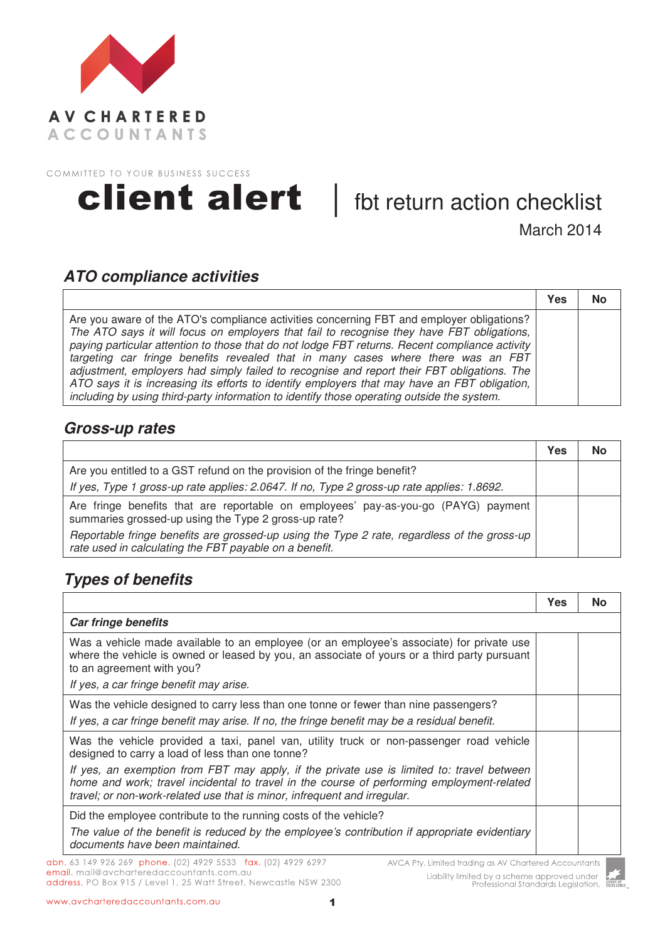



March 2014

### **ATO compliance activities**

|                                                                                                                                                                                                                                                                                                                                                                                                                                                                                                                                                                                                                                                                          | Yes | No |
|--------------------------------------------------------------------------------------------------------------------------------------------------------------------------------------------------------------------------------------------------------------------------------------------------------------------------------------------------------------------------------------------------------------------------------------------------------------------------------------------------------------------------------------------------------------------------------------------------------------------------------------------------------------------------|-----|----|
| Are you aware of the ATO's compliance activities concerning FBT and employer obligations?<br>The ATO says it will focus on employers that fail to recognise they have FBT obligations,<br>paying particular attention to those that do not lodge FBT returns. Recent compliance activity<br>targeting car fringe benefits revealed that in many cases where there was an FBT<br>adjustment, employers had simply failed to recognise and report their FBT obligations. The<br>ATO says it is increasing its efforts to identify employers that may have an FBT obligation,<br>including by using third-party information to identify those operating outside the system. |     |    |

#### **Gross-up rates**

|                                                                                                                                                       | Yes | No |
|-------------------------------------------------------------------------------------------------------------------------------------------------------|-----|----|
| Are you entitled to a GST refund on the provision of the fringe benefit?                                                                              |     |    |
| If yes, Type 1 gross-up rate applies: 2.0647. If no, Type 2 gross-up rate applies: 1.8692.                                                            |     |    |
| Are fringe benefits that are reportable on employees' pay-as-you-go (PAYG) payment<br>summaries grossed-up using the Type 2 gross-up rate?            |     |    |
| Reportable fringe benefits are grossed-up using the Type 2 rate, regardless of the gross-up<br>rate used in calculating the FBT payable on a benefit. |     |    |

# **Types of benefits**

|                                                                                                                                                                                                                                                                    | Yes | Nο |
|--------------------------------------------------------------------------------------------------------------------------------------------------------------------------------------------------------------------------------------------------------------------|-----|----|
| <b>Car fringe benefits</b>                                                                                                                                                                                                                                         |     |    |
| Was a vehicle made available to an employee (or an employee's associate) for private use<br>where the vehicle is owned or leased by you, an associate of yours or a third party pursuant<br>to an agreement with you?                                              |     |    |
| If yes, a car fringe benefit may arise.                                                                                                                                                                                                                            |     |    |
| Was the vehicle designed to carry less than one tonne or fewer than nine passengers?<br>If yes, a car fringe benefit may arise. If no, the fringe benefit may be a residual benefit.                                                                               |     |    |
| Was the vehicle provided a taxi, panel van, utility truck or non-passenger road vehicle<br>designed to carry a load of less than one tonne?                                                                                                                        |     |    |
| If yes, an exemption from FBT may apply, if the private use is limited to: travel between<br>home and work; travel incidental to travel in the course of performing employment-related<br>travel; or non-work-related use that is minor, infrequent and irregular. |     |    |
| Did the employee contribute to the running costs of the vehicle?<br>The value of the benefit is reduced by the employee's contribution if appropriate evidentiary<br>documents have been maintained.                                                               |     |    |

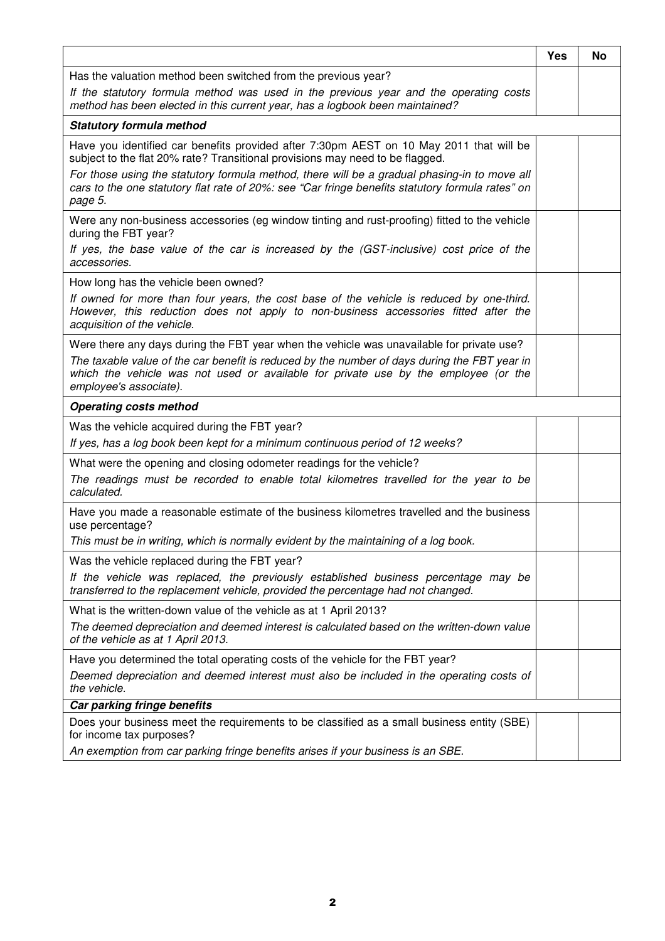|                                                                                                                                                                                                                                                                                                                                                                                         | <b>Yes</b> | No |
|-----------------------------------------------------------------------------------------------------------------------------------------------------------------------------------------------------------------------------------------------------------------------------------------------------------------------------------------------------------------------------------------|------------|----|
| Has the valuation method been switched from the previous year?                                                                                                                                                                                                                                                                                                                          |            |    |
| If the statutory formula method was used in the previous year and the operating costs<br>method has been elected in this current year, has a logbook been maintained?                                                                                                                                                                                                                   |            |    |
| <b>Statutory formula method</b>                                                                                                                                                                                                                                                                                                                                                         |            |    |
| Have you identified car benefits provided after 7:30pm AEST on 10 May 2011 that will be<br>subject to the flat 20% rate? Transitional provisions may need to be flagged.<br>For those using the statutory formula method, there will be a gradual phasing-in to move all<br>cars to the one statutory flat rate of 20%: see "Car fringe benefits statutory formula rates" on<br>page 5. |            |    |
| Were any non-business accessories (eg window tinting and rust-proofing) fitted to the vehicle<br>during the FBT year?<br>If yes, the base value of the car is increased by the (GST-inclusive) cost price of the<br>accessories.                                                                                                                                                        |            |    |
| How long has the vehicle been owned?<br>If owned for more than four years, the cost base of the vehicle is reduced by one-third.<br>However, this reduction does not apply to non-business accessories fitted after the<br>acquisition of the vehicle.                                                                                                                                  |            |    |
| Were there any days during the FBT year when the vehicle was unavailable for private use?<br>The taxable value of the car benefit is reduced by the number of days during the FBT year in<br>which the vehicle was not used or available for private use by the employee (or the<br>employee's associate).                                                                              |            |    |
| <b>Operating costs method</b>                                                                                                                                                                                                                                                                                                                                                           |            |    |
| Was the vehicle acquired during the FBT year?                                                                                                                                                                                                                                                                                                                                           |            |    |
| If yes, has a log book been kept for a minimum continuous period of 12 weeks?                                                                                                                                                                                                                                                                                                           |            |    |
| What were the opening and closing odometer readings for the vehicle?<br>The readings must be recorded to enable total kilometres travelled for the year to be<br>calculated.                                                                                                                                                                                                            |            |    |
| Have you made a reasonable estimate of the business kilometres travelled and the business<br>use percentage?<br>This must be in writing, which is normally evident by the maintaining of a log book.                                                                                                                                                                                    |            |    |
| Was the vehicle replaced during the FBT year?                                                                                                                                                                                                                                                                                                                                           |            |    |
| If the vehicle was replaced, the previously established business percentage may be<br>transferred to the replacement vehicle, provided the percentage had not changed.                                                                                                                                                                                                                  |            |    |
| What is the written-down value of the vehicle as at 1 April 2013?                                                                                                                                                                                                                                                                                                                       |            |    |
| The deemed depreciation and deemed interest is calculated based on the written-down value<br>of the vehicle as at 1 April 2013.                                                                                                                                                                                                                                                         |            |    |
| Have you determined the total operating costs of the vehicle for the FBT year?<br>Deemed depreciation and deemed interest must also be included in the operating costs of<br>the vehicle.                                                                                                                                                                                               |            |    |
| Car parking fringe benefits                                                                                                                                                                                                                                                                                                                                                             |            |    |
| Does your business meet the requirements to be classified as a small business entity (SBE)<br>for income tax purposes?                                                                                                                                                                                                                                                                  |            |    |
| An exemption from car parking fringe benefits arises if your business is an SBE.                                                                                                                                                                                                                                                                                                        |            |    |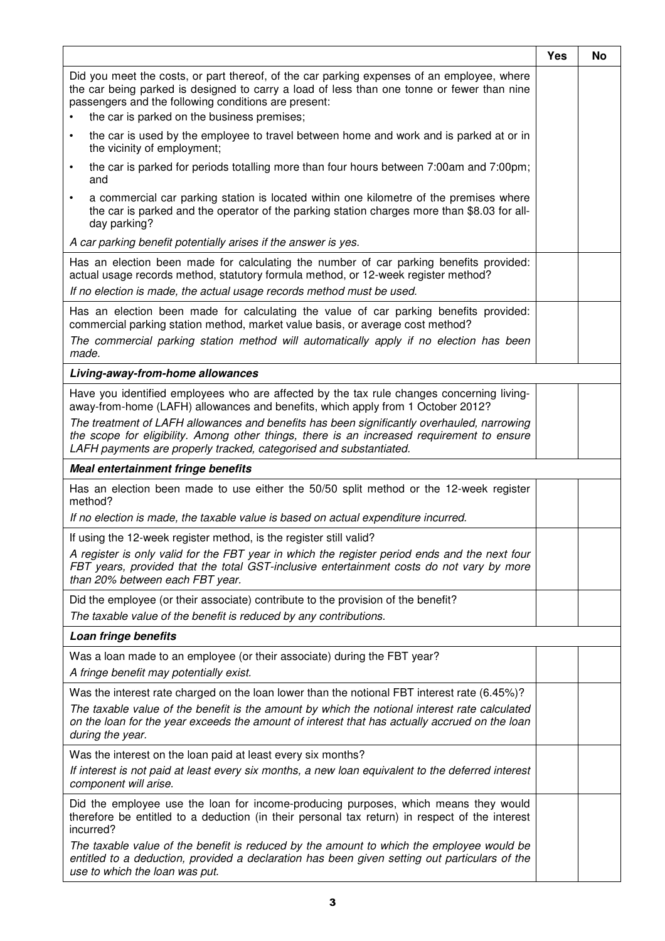|                                                                                                                                                                                                                                                                                                                    | <b>Yes</b> | <b>No</b> |
|--------------------------------------------------------------------------------------------------------------------------------------------------------------------------------------------------------------------------------------------------------------------------------------------------------------------|------------|-----------|
| Did you meet the costs, or part thereof, of the car parking expenses of an employee, where<br>the car being parked is designed to carry a load of less than one tonne or fewer than nine<br>passengers and the following conditions are present:<br>the car is parked on the business premises;                    |            |           |
| the car is used by the employee to travel between home and work and is parked at or in<br>$\bullet$<br>the vicinity of employment;                                                                                                                                                                                 |            |           |
| the car is parked for periods totalling more than four hours between 7:00am and 7:00pm;<br>and                                                                                                                                                                                                                     |            |           |
| a commercial car parking station is located within one kilometre of the premises where<br>$\bullet$<br>the car is parked and the operator of the parking station charges more than \$8.03 for all-<br>day parking?                                                                                                 |            |           |
| A car parking benefit potentially arises if the answer is yes.                                                                                                                                                                                                                                                     |            |           |
| Has an election been made for calculating the number of car parking benefits provided:<br>actual usage records method, statutory formula method, or 12-week register method?<br>If no election is made, the actual usage records method must be used.                                                              |            |           |
| Has an election been made for calculating the value of car parking benefits provided:<br>commercial parking station method, market value basis, or average cost method?<br>The commercial parking station method will automatically apply if no election has been<br>made.                                         |            |           |
| Living-away-from-home allowances                                                                                                                                                                                                                                                                                   |            |           |
| Have you identified employees who are affected by the tax rule changes concerning living-<br>away-from-home (LAFH) allowances and benefits, which apply from 1 October 2012?                                                                                                                                       |            |           |
| The treatment of LAFH allowances and benefits has been significantly overhauled, narrowing<br>the scope for eligibility. Among other things, there is an increased requirement to ensure<br>LAFH payments are properly tracked, categorised and substantiated.                                                     |            |           |
| Meal entertainment fringe benefits                                                                                                                                                                                                                                                                                 |            |           |
| Has an election been made to use either the 50/50 split method or the 12-week register<br>method?                                                                                                                                                                                                                  |            |           |
| If no election is made, the taxable value is based on actual expenditure incurred.                                                                                                                                                                                                                                 |            |           |
| If using the 12-week register method, is the register still valid?                                                                                                                                                                                                                                                 |            |           |
| A register is only valid for the FBT year in which the register period ends and the next four<br>FBT years, provided that the total GST-inclusive entertainment costs do not vary by more<br>than 20% between each FBT year.                                                                                       |            |           |
| Did the employee (or their associate) contribute to the provision of the benefit?                                                                                                                                                                                                                                  |            |           |
| The taxable value of the benefit is reduced by any contributions.                                                                                                                                                                                                                                                  |            |           |
| Loan fringe benefits                                                                                                                                                                                                                                                                                               |            |           |
| Was a loan made to an employee (or their associate) during the FBT year?<br>A fringe benefit may potentially exist.                                                                                                                                                                                                |            |           |
| Was the interest rate charged on the loan lower than the notional FBT interest rate (6.45%)?<br>The taxable value of the benefit is the amount by which the notional interest rate calculated<br>on the loan for the year exceeds the amount of interest that has actually accrued on the loan<br>during the year. |            |           |
| Was the interest on the loan paid at least every six months?                                                                                                                                                                                                                                                       |            |           |
| If interest is not paid at least every six months, a new loan equivalent to the deferred interest<br>component will arise.                                                                                                                                                                                         |            |           |
| Did the employee use the loan for income-producing purposes, which means they would<br>therefore be entitled to a deduction (in their personal tax return) in respect of the interest<br>incurred?                                                                                                                 |            |           |
| The taxable value of the benefit is reduced by the amount to which the employee would be<br>entitled to a deduction, provided a declaration has been given setting out particulars of the<br>use to which the loan was put.                                                                                        |            |           |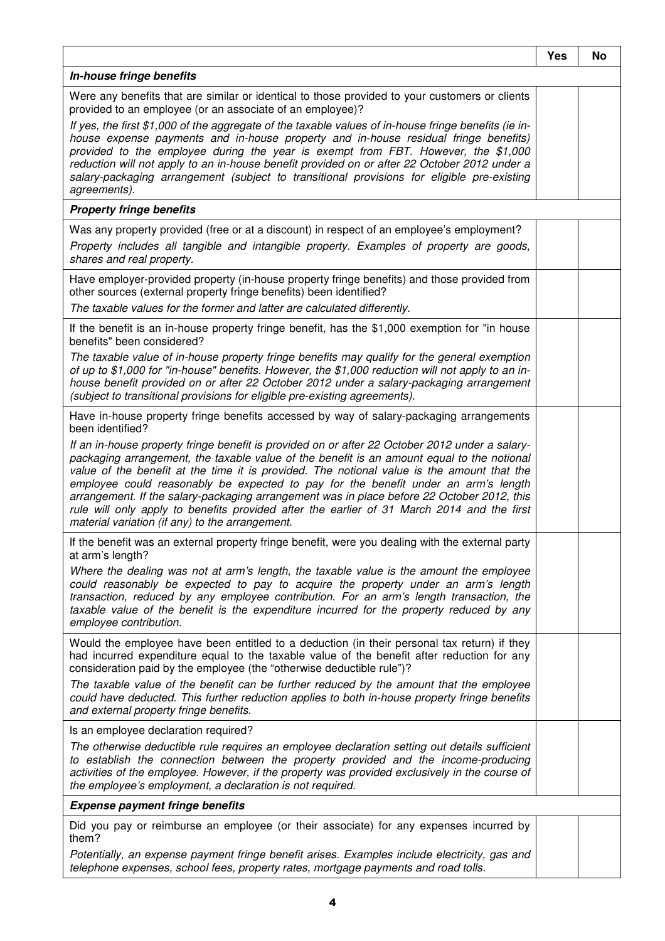|                                                                                                                                                                                                                                                                                                                                                                                                                                                                                                                                                                                                                                                                                                                                                | Yes | No |
|------------------------------------------------------------------------------------------------------------------------------------------------------------------------------------------------------------------------------------------------------------------------------------------------------------------------------------------------------------------------------------------------------------------------------------------------------------------------------------------------------------------------------------------------------------------------------------------------------------------------------------------------------------------------------------------------------------------------------------------------|-----|----|
| In-house fringe benefits                                                                                                                                                                                                                                                                                                                                                                                                                                                                                                                                                                                                                                                                                                                       |     |    |
| Were any benefits that are similar or identical to those provided to your customers or clients<br>provided to an employee (or an associate of an employee)?<br>If yes, the first \$1,000 of the aggregate of the taxable values of in-house fringe benefits (ie in-<br>house expense payments and in-house property and in-house residual fringe benefits)<br>provided to the employee during the year is exempt from FBT. However, the \$1,000<br>reduction will not apply to an in-house benefit provided on or after 22 October 2012 under a<br>salary-packaging arrangement (subject to transitional provisions for eligible pre-existing<br>agreements).                                                                                  |     |    |
| <b>Property fringe benefits</b>                                                                                                                                                                                                                                                                                                                                                                                                                                                                                                                                                                                                                                                                                                                |     |    |
| Was any property provided (free or at a discount) in respect of an employee's employment?<br>Property includes all tangible and intangible property. Examples of property are goods,<br>shares and real property.                                                                                                                                                                                                                                                                                                                                                                                                                                                                                                                              |     |    |
| Have employer-provided property (in-house property fringe benefits) and those provided from<br>other sources (external property fringe benefits) been identified?<br>The taxable values for the former and latter are calculated differently.                                                                                                                                                                                                                                                                                                                                                                                                                                                                                                  |     |    |
| If the benefit is an in-house property fringe benefit, has the \$1,000 exemption for "in house<br>benefits" been considered?<br>The taxable value of in-house property fringe benefits may qualify for the general exemption<br>of up to \$1,000 for "in-house" benefits. However, the \$1,000 reduction will not apply to an in-<br>house benefit provided on or after 22 October 2012 under a salary-packaging arrangement<br>(subject to transitional provisions for eligible pre-existing agreements).                                                                                                                                                                                                                                     |     |    |
| Have in-house property fringe benefits accessed by way of salary-packaging arrangements<br>been identified?<br>If an in-house property fringe benefit is provided on or after 22 October 2012 under a salary-<br>packaging arrangement, the taxable value of the benefit is an amount equal to the notional<br>value of the benefit at the time it is provided. The notional value is the amount that the<br>employee could reasonably be expected to pay for the benefit under an arm's length<br>arrangement. If the salary-packaging arrangement was in place before 22 October 2012, this<br>rule will only apply to benefits provided after the earlier of 31 March 2014 and the first<br>material variation (if any) to the arrangement. |     |    |
| If the benefit was an external property fringe benefit, were you dealing with the external party<br>at arm's length?<br>Where the dealing was not at arm's length, the taxable value is the amount the employee<br>could reasonably be expected to pay to acquire the property under an arm's length<br>transaction, reduced by any employee contribution. For an arm's length transaction, the<br>taxable value of the benefit is the expenditure incurred for the property reduced by any<br>employee contribution.                                                                                                                                                                                                                          |     |    |
| Would the employee have been entitled to a deduction (in their personal tax return) if they<br>had incurred expenditure equal to the taxable value of the benefit after reduction for any<br>consideration paid by the employee (the "otherwise deductible rule")?<br>The taxable value of the benefit can be further reduced by the amount that the employee<br>could have deducted. This further reduction applies to both in-house property fringe benefits<br>and external property fringe benefits.                                                                                                                                                                                                                                       |     |    |
| Is an employee declaration required?<br>The otherwise deductible rule requires an employee declaration setting out details sufficient<br>to establish the connection between the property provided and the income-producing<br>activities of the employee. However, if the property was provided exclusively in the course of<br>the employee's employment, a declaration is not required.                                                                                                                                                                                                                                                                                                                                                     |     |    |
| <b>Expense payment fringe benefits</b>                                                                                                                                                                                                                                                                                                                                                                                                                                                                                                                                                                                                                                                                                                         |     |    |
| Did you pay or reimburse an employee (or their associate) for any expenses incurred by<br>them?<br>Potentially, an expense payment fringe benefit arises. Examples include electricity, gas and<br>telephone expenses, school fees, property rates, mortgage payments and road tolls.                                                                                                                                                                                                                                                                                                                                                                                                                                                          |     |    |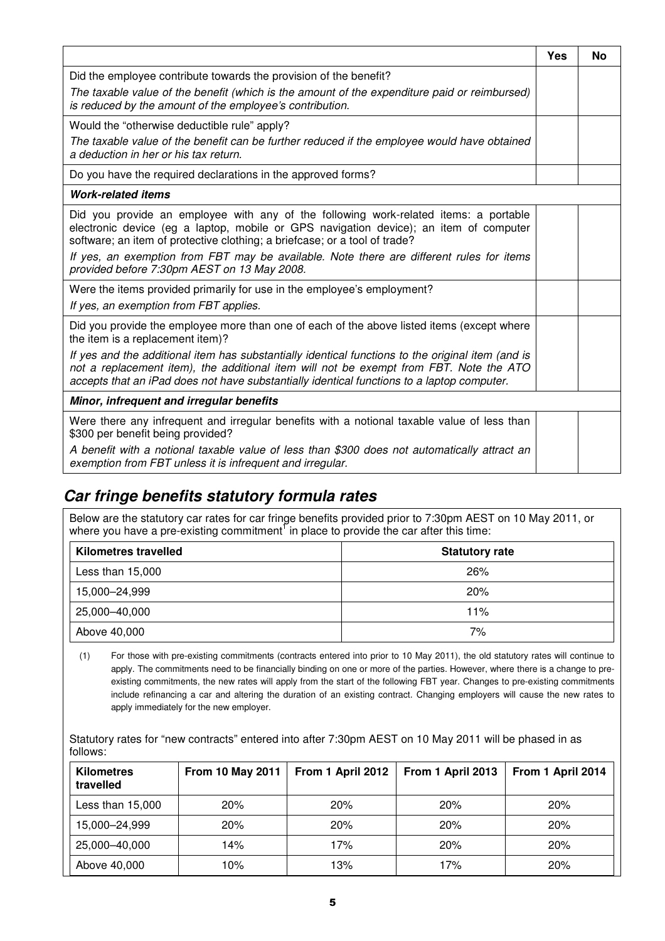|                                                                                                                                                                                                                                                                                                                                                                                                        | Yes | No |
|--------------------------------------------------------------------------------------------------------------------------------------------------------------------------------------------------------------------------------------------------------------------------------------------------------------------------------------------------------------------------------------------------------|-----|----|
| Did the employee contribute towards the provision of the benefit?                                                                                                                                                                                                                                                                                                                                      |     |    |
| The taxable value of the benefit (which is the amount of the expenditure paid or reimbursed)<br>is reduced by the amount of the employee's contribution.                                                                                                                                                                                                                                               |     |    |
| Would the "otherwise deductible rule" apply?                                                                                                                                                                                                                                                                                                                                                           |     |    |
| The taxable value of the benefit can be further reduced if the employee would have obtained<br>a deduction in her or his tax return.                                                                                                                                                                                                                                                                   |     |    |
| Do you have the required declarations in the approved forms?                                                                                                                                                                                                                                                                                                                                           |     |    |
| <b>Work-related items</b>                                                                                                                                                                                                                                                                                                                                                                              |     |    |
| Did you provide an employee with any of the following work-related items: a portable<br>electronic device (eg a laptop, mobile or GPS navigation device); an item of computer<br>software; an item of protective clothing; a briefcase; or a tool of trade?<br>If yes, an exemption from FBT may be available. Note there are different rules for items<br>provided before 7:30pm AEST on 13 May 2008. |     |    |
| Were the items provided primarily for use in the employee's employment?                                                                                                                                                                                                                                                                                                                                |     |    |
| If yes, an exemption from FBT applies.                                                                                                                                                                                                                                                                                                                                                                 |     |    |
| Did you provide the employee more than one of each of the above listed items (except where<br>the item is a replacement item)?                                                                                                                                                                                                                                                                         |     |    |
| If yes and the additional item has substantially identical functions to the original item (and is<br>not a replacement item), the additional item will not be exempt from FBT. Note the ATO<br>accepts that an iPad does not have substantially identical functions to a laptop computer.                                                                                                              |     |    |
| Minor, infrequent and irregular benefits                                                                                                                                                                                                                                                                                                                                                               |     |    |
| Were there any infrequent and irregular benefits with a notional taxable value of less than<br>\$300 per benefit being provided?                                                                                                                                                                                                                                                                       |     |    |
| A benefit with a notional taxable value of less than \$300 does not automatically attract an<br>exemption from FBT unless it is infrequent and irregular.                                                                                                                                                                                                                                              |     |    |

### **Car fringe benefits statutory formula rates**

Below are the statutory car rates for car fringe benefits provided prior to 7:30pm AEST on 10 May 2011, or where you have a pre-existing commitment<sup>1</sup> in place to provide the car after this time:

| <b>Kilometres travelled</b> | <b>Statutory rate</b> |
|-----------------------------|-----------------------|
| Less than 15,000            | 26%                   |
| 15,000-24,999               | 20%                   |
| 25,000-40,000               | 11%                   |
| Above 40,000                | 7%                    |

(1) For those with pre-existing commitments (contracts entered into prior to 10 May 2011), the old statutory rates will continue to apply. The commitments need to be financially binding on one or more of the parties. However, where there is a change to preexisting commitments, the new rates will apply from the start of the following FBT year. Changes to pre-existing commitments include refinancing a car and altering the duration of an existing contract. Changing employers will cause the new rates to apply immediately for the new employer.

Statutory rates for "new contracts" entered into after 7:30pm AEST on 10 May 2011 will be phased in as follows:

| <b>Kilometres</b><br>travelled | From 10 May 2011 | From 1 April 2012 | From 1 April 2013 | From 1 April 2014 |
|--------------------------------|------------------|-------------------|-------------------|-------------------|
| Less than 15,000               | 20%              | 20%               | 20%               | 20%               |
| 15,000-24,999                  | 20%              | 20%               | 20%               | 20%               |
| 25,000-40,000                  | 14%              | 17%               | 20%               | 20%               |
| Above 40,000                   | 10%              | l3%               | 17%               | 20%               |